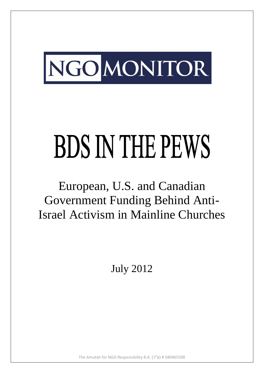

# **BDS IN THE PEWS**

# European, U.S. and Canadian Government Funding Behind Anti-Israel Activism in Mainline Churches

July 2012

The Amutah for NGO Responsibility R.A. (ע"ר) # 580465508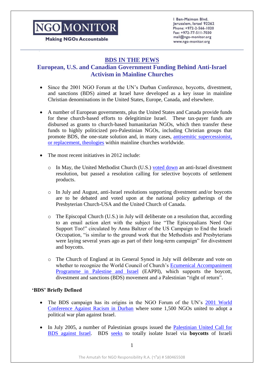**Making NGOs Accountable** 

Ben-Maimon Blvd. Jerusalem, Israel 92262 Phone: +972-2-566-1020 Fax: +972-77-511-7030 mail@ngo-monitor.org www.ngo-monitor.org

#### **BDS IN THE PEWS**

#### **European, U.S. and Canadian Government Funding Behind Anti-Israel Activism in Mainline Churches**

- Since the 2001 NGO Forum at the UN's Durban Conference, boycotts, divestment, and sanctions (BDS) aimed at Israel have developed as a key issue in mainline Christian denominations in the United States, Europe, Canada, and elsewhere.
- A number of European governments, plus the United States and Canada provide funds for these church-based efforts to delegitimize Israel. These tax-payer funds are disbursed as grants to church-based humanitarian NGOs, which then transfer these funds to highly politicized pro-Palestinian NGOs, including Christian groups that promote BDS, the one-state solution and, in many cases, [antisemitic supercessionist,](http://www.theologicalstudies.org/resource-library/supersessionism/324-defining-supersessionism)  [or replacement, theologies](http://www.theologicalstudies.org/resource-library/supersessionism/324-defining-supersessionism) within mainline churches worldwide.
- The most recent initiatives in 2012 include:
	- $\circ$  In May, the United Methodist Church (U.S.) [voted down](http://forward.com/articles/155703/methodists-reject-divestment-motion/) an anti-Israel divestment resolution, but passed a resolution calling for selective boycotts of settlement products.
	- o In July and August, anti-Israel resolutions supporting divestment and/or boycotts are to be debated and voted upon at the national policy gatherings of the Presbyterian Church-USA and the United Church of Canada.
	- o The Episcopal Church (U.S.) in July will deliberate on a resolution that, according to an email action alert with the subject line "The Episcopalians Need Our Support Too!" circulated by Anna Baltzer of the US Campaign to End the Israeli Occupation, "is similar to the ground work that the Methodists and Presbyterians were laying several years ago as part of their long-term campaign" for divestment and boycotts.
	- o The Church of England at its General Synod in July will deliberate and vote on whether to recognize the World Council of Church's [Ecumenical Accompaniment](http://www.ngo-monitor.org/article/ecumenical_accompaniment_programme_in_palestine_and_israel_eappi_)  [Programme in Palestine and Israel](http://www.ngo-monitor.org/article/ecumenical_accompaniment_programme_in_palestine_and_israel_eappi_) (EAPPI), which supports the boycott, divestment and sanctions (BDS) movement and a Palestinian "right of return".

#### **'BDS' Briefly Defined**

- The BDS campaign has its origins in the NGO Forum of the UN's [2001 World](http://ngo-monitor.org/article/ngo_forum_at_durban_conference_)  [Conference Against Racism in Durban](http://ngo-monitor.org/article/ngo_forum_at_durban_conference_) where some 1,500 NGOs united to adopt a political war plan against Israel.
- In July 2005, a number of Palestinian groups issued the [Palestinian United Call for](http://www.bdsmovement.net/call)  [BDS against Israel.](http://www.bdsmovement.net/call) BDS [seeks](http://www.bdsmovement.net/bdsintro) to totally isolate Israel via **boycotts** of Israeli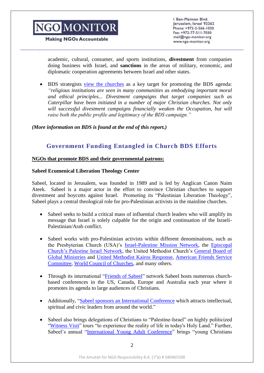

**Making NGOs Accountable** 

Ben-Maimon Blvd. Jerusalem, Israel 92262 Phone: +972-2-566-1020 Fax: +972-77-511-7030 mail@ngo-monitor.org www.ngo-monitor.org

academic, cultural, consumer, and sports institutions, **divestment** from companies doing business with Israel, and **sanctions** in the areas of military, economic, and diplomatic cooperation agreements between Israel and other states.

• BDS strategists [view the churches](http://www.bdsmovement.net/2008/faith-based-125) as a key target for promoting the BDS agenda: *"religious institutions are seen in many communities as embodying important moral and ethical principles... Divestment campaigns that target companies such as Caterpillar have been initiated in a number of major Christian churches. Not only*  will successful divestment campaigns financially weaken the Occupation, but will *raise both the public profile and legitimacy of the BDS campaign."*

*(More information on BDS is found at the end of this report.)*

#### **Government Funding Entangled in Church BDS Efforts**

#### **NGOs that promote BDS and their governmental patrons:**

#### **Sabeel Ecumenical Liberation Theology Center**

Sabeel, located in Jerusalem, was founded in 1989 and is led by Anglican Canon Naim Ateek. Sabeel is a major actor in the effort to convince Christian churches to support divestment and boycotts against Israel. Promoting its "Palestinian Liberation Theology", Sabeel plays a central theological role for pro-Palestinian activists in the mainline churches.

- Sabeel seeks to build a critical mass of influential church leaders who will amplify its message that Israel is solely culpable for the origin and continuation of the Israeli-Palestinian/Arab conflict.
- Sabeel works with pro-Palestinian activists within different denominations, such as the Presbyterian Church (USA)'s [Israel-Palestine Mission Network,](http://www.theipmn.org/) the [Episcopal](http://epfnational.org/palestine-israel-network/)  [Church's Palestine Israel Network,](http://epfnational.org/palestine-israel-network/) the United Methodist Church's [General Board of](http://www.umcmission.org/Give-to-Mission/Search-for-Projects/Projects/Sabeel-Youth-Program)  [Global Ministries](http://www.umcmission.org/Give-to-Mission/Search-for-Projects/Projects/Sabeel-Youth-Program) and [United Methodist Kairos Response,](https://www.kairosresponse.org/UMKR_Home.html) [American Friends Service](http://afsc.org/event/us-policy-palestine-israel-engaging-faith-communities-pursuit-just-peace-2011)  [Committee,](http://afsc.org/event/us-policy-palestine-israel-engaging-faith-communities-pursuit-just-peace-2011) [World Council of Churches,](http://www.google.com/search?ie=utf-8&oe=utf-8&domains=oikoumene.org%3B+wcc-coe.org%3B+wcc-assembly.info&sitesearch=oikoumene.org&hl=en&q=sabeel&sbtn=Go+!) and many others.
- Through its international ["Friends of Sabeel"](http://sabeel.org/ifos.php) network Sabeel hosts numerous churchbased conferences in the US, Canada, Europe and Australia each year where it promotes its agenda to large audiences of Christians.
- Additionally, ["Sabeel sponsors an International Conference](http://sabeel.org/intconferences.php) which attracts intellectual, spiritual and civic leaders from around the world."
- Sabeel also brings delegations of Christians to "Palestine-Israel" on highly politicized ["Witness Visit"](http://sabeel.org/events.php?eventid=244) tours "to experience the reality of life in today's Holy Land." Further, Sabeel's annual ["International Young Adult Conference"](http://sabeel.org/youthconferences.php) brings "young Christians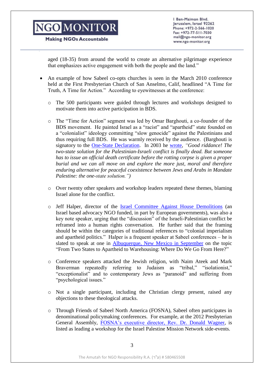**Making NGOs Accountable** 

Ben-Maimon Blvd. Jerusalem, Israel 92262 Phone: +972-2-566-1020 Fax: +972-77-511-7030 mail@ngo-monitor.org www.ngo-monitor.org

aged (18-35) from around the world to create an alternative pilgrimage experience that emphasizes active engagement with both the people and the land."

- An example of how Sabeel co-opts churches is seen in the March 2010 conference held at the First Presbyterian Church of San Anselmo, Calif, headlined "A Time for Truth, A Time for Action." According to eyewitnesses at the conference:
	- o The 500 participants were guided through lectures and workshops designed to motivate them into active participation in BDS.
	- o The "Time for Action" segment was led by Omar Barghouti, a co-founder of the BDS movement. He painted Israel as a "racist" and "apartheid" state founded on a "colonialist" ideology committing "slow genocide" against the Palestinians and thus requiring full BDS. He was warmly received by the audience. (Barghouti is signatory to the [One-State Declaration.](http://www.1948.org.uk/the-one-state-solution/) In 2003 he [wrote,](http://www.counterpunch.org/2003/12/12/relative-humanity-the-essential-obstacle-to-a-just-peace-in-palestine/) *"Good riddance! The two-state solution for the Palestinian-Israeli conflict is finally dead. But someone has to issue an official death certificate before the rotting corpse is given a proper burial and we can all move on and explore the more just, moral and therefore enduring alternative for peaceful coexistence between Jews and Arabs in Mandate Palestine: the one-state solution.")*
	- o Over twenty other speakers and workshop leaders repeated these themes, blaming Israel alone for the conflict.
	- o Jeff Halper, director of the [Israel Committee Against House Demolitions](http://www.ngo-monitor.org/article/israel_committee_against_house_demolitions_icahd_) (an Israel based advocacy NGO funded, in part by European governments), was also a key note speaker, urging that the "discussion" of the Israeli-Palestinian conflict be reframed into a human rights conversation. He further said that the framing should be within the categories of traditional references to "colonial imperialism and apartheid politics." Halper is a frequent speaker at Sabeel conferences – he is slated to speak at one in [Albuquerque, New Mexico in September](http://fosna.org/files/fosna/SCHEDULE%2006.20.2012.pdf) on the topic "From Two States to Apartheid to Warehousing: Where Do We Go From Here?"
	- o Conference speakers attacked the Jewish religion, with Naim Ateek and Mark Braverman repeatedly referring to Judaism as "tribal," "isolationist," "exceptionalist" and to contemporary Jews as "paranoid" and suffering from "psychological issues."
	- o Not a single participant, including the Christian clergy present, raised any objections to these theological attacks.
	- o Through Friends of Sabeel North America (FOSNA), Sabeel often participates in denominational policymaking conferences. For example, at the 2012 Presbyterian General Assembly, [FOSNA's executive director, Rev. Dr. Donald Wagner,](http://www.israelpalestinemissionnetwork.org/main/ipmndocuments/IPMN_Schedule_GA_2012.pdf) is listed as leading a workshop for the Israel Palestine Mission Network side-events.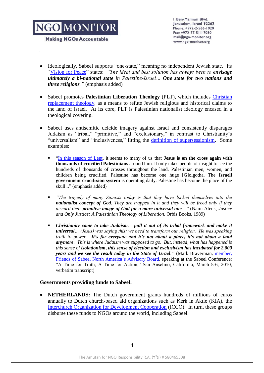**Making NGOs Accountable** 

Ben-Maimon Blvd. Jerusalem, Israel 92262 Phone: +972-2-566-1020 Fax: +972-77-511-7030 mail@ngo-monitor.org www.ngo-monitor.org

- Ideologically, Sabeel supports "one-state," meaning no independent Jewish state. Its ["Vision for Peace"](http://fosna.org/content/jerusalem-sabeel-document-principles-just-peace-palestine-israel) states: *"The ideal and best solution has always been to envisage ultimately a bi-national state in Palestine-Israel… One state for two nations and three religions."* (emphasis added)
- Sabeel promotes **Palestinian Liberation Theology** (PLT), which includes [Christian](http://www.interfaithfamily.com/arts_and_entertainment/popular_culture/Catholics_and_Jews_A_Review_of_Constantines_Sword.shtml)  [replacement theology,](http://www.interfaithfamily.com/arts_and_entertainment/popular_culture/Catholics_and_Jews_A_Review_of_Constantines_Sword.shtml) as a means to refute Jewish religious and historical claims to the land of Israel. At its core, PLT is Palestinian nationalist ideology encased in a theological covering.
- Sabeel uses antisemitic deicide imagery against Israel and consistently disparages Judaism as "tribal," "primitive," and "exclusionary," in contrast to Christianity's "universalism" and "inclusiveness," fitting the definition [of supersessionism.](http://www.theologicalstudies.org/resource-library/supersessionism/324-defining-supersessionism) Some examples:
	- ["In this season of Lent,](http://www.sabeel.org/pdfs/2001%20Easter%20Message.htm) it seems to many of us that **Jesus is on the cross again with thousands of crucified Palestinians** around him. It only takes people of insight to see the hundreds of thousands of crosses throughout the land, Palestinian men, women, and children being crucified. Palestine has become one huge [G]olgotha. The **Israeli government crucifixion system** is operating daily. Palestine has become the place of the skull..." (emphasis added)
	- *"The tragedy of many Zionists today is that they have locked themselves into the nationalist concept of God. They are trapped in it and they will be freed only if they discard their primitive image of God for a more universal one…"* (Naim Ateek, *Justice and Only Justice: A Palestinian Theology of Liberation*, Orbis Books, 1989)
	- *Christianity came to take Judaism… pull it out of its tribal framework and make it universal… (Jesus) was saying this: we need to transform our religion. He was speaking truth to power. It's for everyone and it's not about a place, it's not about a land anymore. This is where Judaism was supposed to go. But, instead, what has happened is this sense of isolationism, this sense of election and exclusivism has incubated for 2,000 years and we see the result today in the State of Israel.* " (Mark Braverman, member, [Friends of Sabeel North America's Advisory Board,](http://www.fosna.org/steering-committee) speaking at the Sabeel Conference: "A Time for Truth; A Time for Action," San Anselmo, California, March 5-6, 2010, verbatim transcript)

#### **Governments providing funds to Sabeel:**

**NETHERLANDS:** The Dutch government grants hundreds of millions of euros annually to Dutch church-based aid organizations such as Kerk in Aktie (KIA), the [Interchurch Organization for Development Cooperation](http://www.ngo-monitor.org/article.php?id=3540) (ICCO). In turn, these groups disburse these funds to NGOs around the world, including Sabeel.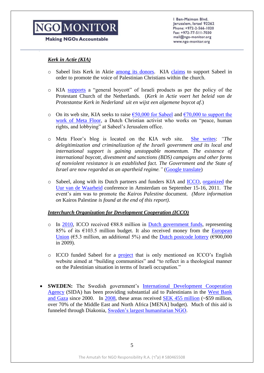#### **Making NGOs Accountable**

Ben-Maimon Blvd. Jerusalem, Israel 92262 Phone: +972-2-566-1020 Fax: +972-77-511-7030 mail@ngo-monitor.org www.ngo-monitor.org

#### *Kerk in Actie (KIA)*

- o Sabeel lists Kerk in Aktie [among its donors.](http://www.google.co.il/url?sa=t&rct=j&q=sabeel+Narative+Report+2011.pdf&source=web&cd=1&ved=0CFQQFjAA&url=http%3A%2F%2Fwww.sabeel.org%2Fdatadir%2Fen-events%2Fev250%2Ffiles%2FNarative%2520Report%25202011.pdf&ei=mjHgT5_CGZOE8gOvuJGVDw&usg=AFQjCNG2lMNUn2u1lJHyTwGvPOggQtvMUA) KIA [claims](http://www.kerkinactie.nl/Particulieren/Actueel/Nieuws/Kerk-in-Actie-wil-Isra%C3%ABl-niet-beledigen--n6701) to support Sabeel in order to promote the voice of Palestinian Christians within the church.
- o KIA [supports](http://www.kerkinactie.nl/Particulieren/Actueel/Nieuws/Kerk-in-Actie-wil-Isra%C3%ABl-niet-beledigen--n6701) a "general boycott" of Israeli products as per the policy of the Protestant Church of the Netherlands. (*Kerk in Actie voert het beleid van de Protestantse Kerk in Nederland uit en wijst een algemene boycot af*.)
- o On its web site, KIA seeks to raise  $€50,000$  for Sabeel and  $€70,000$  to support the [work of Meta Floor,](http://www.microsofttranslator.com/BV.aspx?ref=zugo&from=&to=en&a=http%3A%2F%2Fwww.kerkinactie.nl%2Fprojecten%2FMeta-Floor-dialoog-vorming-en-toerusting--p483-7796) a Dutch Christian activist who works on "peace, human rights, and lobbying" at Sabeel's Jerusalem office.
- o Meta Floor's blog is located on the KIA web site. [She writes:](http://www.kerkinactie.nl/Verhalen-uit-het-veld/Hier-staan-wij-sta-ons-bij--b645) *"The delegitimization and criminalization of the Israeli government and its local and international support is gaining unstoppable momentum. The existence of international boycott, divestment and sanctions (BDS) campaigns and other forms of nonviolent resistance is an established fact. The Government and the State of Israel are now regarded as an apartheid regime."* [\(Google translate\)](http://translate.google.com/)
- o Sabeel, along with its Dutch partners and funders KIA and [ICCO,](http://www.icco.eu/en/projects/project&project=440/) [organized](http://www.kairospalestina.nl/nl/home.aspx) the [Uur van de Waarheid](http://cms.kairospalestina.nl/UserFiles/Files/documents/programma%20Kairos%20conf%2020110804.pdf) conference in Amsterdam on September 15-16, 2011. The event's aim was to promote the *Kairos Palestine* document. *(More information on* Kairos Palestine *is found at the end of this report)*.

#### *Interchurch Organization for Development Cooperation (ICCO)*

- o In [2010,](http://www.icco.nl/nl/publicaties-downloads/new/1/icco-jaarbericht-2010/186) ICCO received  $\epsilon$ 88.8 million in [Dutch government funds,](http://www.icco.nl/en/about-icco/funders/ministry-of-foreign-affairs) representing 85% of its  $\epsilon$ 103.5 million budget. It also received money from the European [Union](http://www.icco.nl/en/about-icco/funders/eu) ( $65.3$  million, an additional 5%) and the [Dutch postcode lottery](http://www.icco.nl/en/about-icco/funders/dutch-postcode-lottery) ( $6900,000$ in 2009).
- o ICCO funded Sabeel for a [project](http://www.icco.nl/en/projects/project&project=440) that is only mentioned on ICCO's English website aimed at "building communities" and "to reflect in a theological manner on the Palestinian situation in terms of Israeli occupation."
- **SWEDEN:** The Swedish government's [International Development Cooperation](http://www.ngo-monitor.org/article/the_swedish_international_development_agency_sida_0)  [Agency](http://www.ngo-monitor.org/article/the_swedish_international_development_agency_sida_0) (SIDA) has been providing substantial aid to Palestinians in the [West Bank](http://www2.sida.se/sida/jsp/sida.jsp?d=1230&language=en_US)  [and Gaza](http://www2.sida.se/sida/jsp/sida.jsp?d=1230&language=en_US) since 2000. In [2008,](http://www2.sida.se/sida/jsp/sida.jsp?d=1229&a=33193&language=en_US) these areas received [SEK 455 million](http://www2.sida.se/sida/jsp/sida.jsp?d=1230&a=18120&language=en_US) (~\$59 million, over 70% of the Middle East and North Africa [MENA] budget). Much of this aid is funneled through Diakonia, [Sweden's largest humanitarian NGO.](http://www.diakonia.se/sa/node.asp?node=497)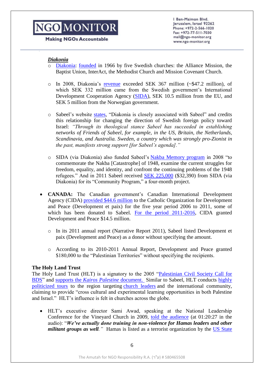#### **Making NGOs Accountable**

Ben-Maimon Blvd. Jerusalem, Israel 92262 Phone: +972-2-566-1020 Fax: +972-77-511-7030 mail@ngo-monitor.org www.ngo-monitor.org

#### *Diakonia*

- o [Diakonia:](http://www.ngo-monitor.org/article/diakonia) [founded](http://www.diakonia.se/sa/node.asp?node=498) in 1966 by five Swedish churches: the Alliance Mission, the Baptist Union, InterAct, the Methodist Church and Mission Covenant Church.
- o In 2008, Diakonia's [revenue](http://www.diakonia.se/documents/public/Annual_Reports/Annual_report_2008.pdf) exceeded SEK 367 million (~\$47.2 million), of which SEK 332 million came from the Swedish government's International Development Cooperation Agency [\(SIDA\)](http://www.sida.se/sida/jsp/sida.jsp?d=390&a=1073), SEK 10.5 million from the EU, and SEK 5 million from the Norwegian government.
- o Sabeel's website [states,](http://www.sabeel.org/pdfs/Cornerstone%2040final,%20Spring%202006.pdf) "Diakonia is closely associated with Sabeel" and credits this relationship for changing the direction of Swedish foreign policy toward Israel: *"Through its theological stance Sabeel has succeeded in establishing networks of Friends of Sabeel, for example, in the US, Britain, the Netherlands, Scandinavia, and Australia. Sweden, a country which was strongly pro-Zionist in the past, manifests strong support [for Sabeel's agenda]."*
- o SIDA (via Diakonia) also funded Sabeel's [Nakba Memory program](http://www2.sida.se/sida/jsp/sida.jsp?d=390&a=42140&pm) in 2008 "to commemorate the Nakba [Catastrophe] of 1948, examine the current struggles for freedom, equality, and identity, and confront the continuing problems of the 1948 refugees." And in 2011 Sabeel received [SEK 225,000](http://www2.sida.se/sida/jsp/sida.jsp?d=390&a=54927&pm) (\$32,390) from SIDA (via Diakonia) for its "Community Program," a four-month project.
- **CANADA:** The Canadian government's Canadian International Development Agency (CIDA) [provided \\$44.6 million](http://www.devp.org/sites/www.devp.org/files/documents/blog/devpeace_fact_sheet_march16.pdf) to the Catholic Organization for Development and Peace (Development et paix) for the five year period 2006 to 2011, some of which has been donated to Sabeel. [For the period 2011-2016,](http://www.devp.org/sites/www.devp.org/files/documents/blog/devpeace_fact_sheet_march16.pdf) CIDA granted Development and Peace \$14.5 million.
	- o In its 2011 annual report (Narrative Report 2011), Sabeel listed Development et paix (Development and Peace) as a donor without specifying the amount.
	- o According to its 2010-2011 Annual Report, Development and Peace granted \$180,000 to the "Palestinian Territories" without specifying the recipients.

#### **The Holy Land Trust**

The Holy Land Trust (HLT) is a signatory to the 2005 ["Palestinian Civil Society Call for](http://www.bdsmovement.net/call#Endorsed_by:)  [BDS"](http://www.bdsmovement.net/call#Endorsed_by:) and supports the *[Kairos Palestine](http://www.holylandtrust.org/index.php?option=com_content&task=view&id=489&Itemid=90)* document. Similar to Sabeel, HLT conducts [highly](http://www.holylandtrust.org/index.php?option=com_content&task=view&id=453&Itemid=304)  [politicized tours](http://www.holylandtrust.org/index.php?option=com_content&task=view&id=453&Itemid=304) to the region targeting [church leaders](http://www.sizers.org/wv-wca-tour.pdf) and the international community, claiming to provide "cross cultural and experimental learning opportunities in both Palestine and Israel." HLT's influence is felt in churches across the globe.

 HLT's executive director Sami Awad, speaking at the National Leadership Conference for the Vineyard Church in 2009, [told the audience](http://s3.amazonaws.com/churchplantmedia-cms/vineyardnorth/nlcrichnathan.mp3) (at 01:20:27 in the audio): "*We've actually done training in non-violence for Hamas leaders and other militant groups as well.* " Hamas is listed as a terrorist organization by the US State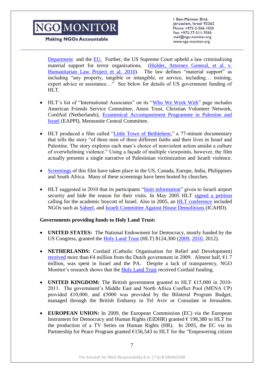**Making NGOs Accountable** 

Ben-Maimon Blvd. Jerusalem, Israel 92262 Phone: +972-2-566-1020 Fax: +972-77-511-7030 mail@ngo-monitor.org www.ngo-monitor.org

Department and the [EU.](http://eur-lex.europa.eu/LexUriServ/LexUriServ.do?uri=OJ:L:2009:023:0037:0042:EN:PDF) Further, the US Supreme Court upheld a law criminalizing material support for terror organizations. [\(Holder, Attorney General, et al. v.](http://www.supremecourt.gov/opinions/09pdf/08-1498.pdf)  [Humanitarian Law Project et al. 2010\)](http://www.supremecourt.gov/opinions/09pdf/08-1498.pdf). The law defines "material support" as including "any property, tangible or intangible, or service, including… training, expert advice or assistance…" See below for details of US government funding of HLT.

- HLT's list of "International Associates" on its ["Who We Work With"](http://www.holylandtrust.org/index.php?option=com_content&task=view&id=194&Itemid=147) page includes American Friends Service Committee, Amos Trust, Christian Volunteer Network, CordAid (Netherlands), [Ecumenical Accompaniment Programme in Palestine and](http://www.ngo-monitor.org/article/ecumenical_accompaniment_programme_in_palestine_and_israel_eappi_)  [Israel](http://www.ngo-monitor.org/article/ecumenical_accompaniment_programme_in_palestine_and_israel_eappi_) (EAPPI), Mennonite Central Committee.
- HLT produced a film called ["Little Town of Bethlehem,](http://ngo-monitor.org/article.php?id=3496)" a 77-minute documentary that tells the story "of three men of three different faiths and their lives in Israel and Palestine. The story explores each man's choice of nonviolent action amidst a culture of overwhelming violence." Using a façade of multiple viewpoints, however, the film actually presents a single narrative of Palestinian victimization and Israeli violence.
- [Screenings](http://littletownofbethlehem.org/screenings/screenings-map/) of this film have taken place in the US, Canada, Europe, India, Philippines and South Africa. Many of these screenings have been hosted by churches.
- HLT suggested in 2010 that its participants ["limit information"](http://www.holylandtrust.org/templates/tne/Orientation_Packet_2008.pdf) given to Israeli airport security and hide the reason for their visits. In May 2005 HLT [signed a petition](http://www.ngo-monitor.org/article.php?id=515) calling for the academic boycott of Israel. Also in 2005, an [HLT conference](http://www.opednews.com/articles/opedne_eileen_f_051231_eye_witness_report_f.htm) included NGOs such as [Sabeel,](http://www.ngo-monitor.org/article/sabeel_ecumenical_liberation_theology_center) and [Israeli Committee Against House Demolitions \(](http://www.ngo-monitor.org/article.php?id=75)ICAHD).

#### **Governments providing funds to Holy Land Trust:**

- **UNITED STATES:** The National Endowment for Democracy, mostly funded by the US Congress, granted the [Holy Land Trust](http://www.ngo-monitor.org/article/_little_town_of_bethlehem_film_holy_land_trust_s_anti_israel_activism_with_a_theological_backdrop) (HLT) \$124,300 [\(2009,](http://www.ned.org/publications/annual-reports/2009-annual-report/middle-east-and-north-africa/description-of-2009-gr-13) [2010,](http://www.ned.org/where-we-work/middle-east-and-northern-africa/west-bank-and-gaza-strip) 2012).
- **NETHERLANDS:** Cordaid (Catholic Organisation for Relief and Development) [received](http://www.minbuza.nl/dsresource?objectid=buzabeheer:47764&type=pdf) more than  $\epsilon$ 4 million from the Dutch government in 2009. Almost half,  $\epsilon$ 1.7 million, was spent in Israel and the PA. Despite a lack of transparency, NGO Monitor's research shows that the [Holy Land Trust](http://www.holylandtrust.org/index.php?option=com_content&task=view&id=194&Itemid=147) received Cordaid funding.
- **UNITED KINGDOM:** The British government granted to HLT ₤15,000 in 2010- 2011. The government's Middle East and North Africa Conflict Pool (MENA CP) provided ₤10,000, and ₤5000 was provided by the Bilateral Program Budget, managed through the British Embassy in Tel Aviv or Consulate in Jerusalem.
- **EUROPEAN UNION:** In 2009, the European Commission (EC) via the European Instrument for Democracy and Human Rights (EIDHR) granted  $\epsilon$  198,380 to HLT for the production of a TV Series on Human Rights (HR). In 2005, the EC via its Partnership for Peace Program granted  $\epsilon$ 156,543 to HLT for the "Empowering citizen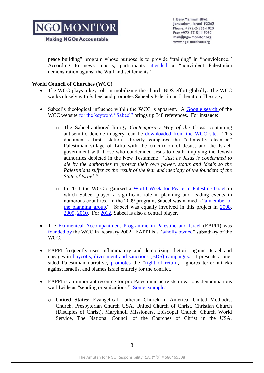**Making NGOs Accountable** 

Ben-Maimon Blvd. Jerusalem, Israel 92262 Phone: +972-2-566-1020 Fax: +972-77-511-7030 mail@ngo-monitor.org www.ngo-monitor.org

peace building" program whose purpose is to provide "training" in "nonviolence." According to news reports, participants [attended](http://english.pnn.ps/index.php?option=com_content&task=view&id=3923&Itemid=2) a "nonviolent Palestinian demonstration against the Wall and settlements."

#### **World Council of Churches (WCC)**

- The WCC plays a key role in mobilizing the church BDS effort globally. The WCC works closely with Sabeel and promotes Sabeel's Palestinian Liberation Theology.
- Sabeel's theological influence within the WCC is apparent. A Google search of the WCC website [for the keyword "Sabeel"](http://www.google.com/search?ie=utf-8&oe=utf-8&domains=oikoumene.org%3B+wcc-coe.org%3B+wcc-assembly.info&sitesearch=oikoumene.org&hl=en&q=palestine&sbtn=Go+!#hl=en&domains=oikoumene.org%3B+wcc-coe.org%3B+wcc-assembly.info&sclient=psy-ab&q=sabeel+site:oikoumene.org&oq=sabeel+site:oikoumene.org&aq=f&aqi=&aql=&gs_l=serp.3...246071.247207.0.248735.7.7.0.0.0.5.353.1668.0j2j4j1.7.0...0.0.Kh7gK-foSGk&pbx=1&bav=on.2,o) brings up 348 references. For instance:
	- o The Sabeel-authored liturgy *Contemporary Way of the Cross*, containing antisemitic deicide imagery, can be [downloaded from the WCC site.](http://www.oikoumene.org/fileadmin/files/wcc-main/documents/p3/worldweekforpeace/documents/SabeelWayofCross.pdf) This document's first "station" directly compares the "ethnically cleansed" Palestinian village of Lifta with the crucifixion of Jesus, and the Israeli government with those who condemned Jesus to death, implying the Jewish authorities depicted in the New Testament: *"Just as Jesus is condemned to die by the authorities to protect their own power, status and ideals so the Palestinians suffer as the result of the fear and ideology of the founders of the State of Israel."*
	- o In 2011 the WCC organized a [World Week for Peace in Palestine Israel](http://www.oikoumene.org/en/programmes/public-witness-addressing-power-affirming-peace/churches-in-the-middle-east/pief/world-week/events-from-previous-years/2011-events.html) in which Sabeel played a significant role in planning and leading events in numerous countries. In the 2009 program, Sabeel was named a ["a member of](http://www.oikoumene.org/fileadmin/files/wcc-main/documents/p3/worldweekforpeace/documents/2009invitation_en.pdf)  [the planning group.](http://www.oikoumene.org/fileadmin/files/wcc-main/documents/p3/worldweekforpeace/documents/2009invitation_en.pdf)" Sabeel was equally involved in this project in [2008,](http://www.oikoumene.org/ru/chto-my-delaem/public-witness-addressing-power-affirming-peace/churches-in-the-middle-east/pief/world-week/events-from-previous-years/2008.html) [2009,](http://www.oikoumene.org/en/programmes/public-witness-addressing-power-affirming-peace/churches-in-the-middle-east/pief/world-week/events-from-previous-years/2009.html) [2010.](http://www.oikoumene.org/en/programmes/public-witness-addressing-power-affirming-peace/churches-in-the-middle-east/pief/world-week/events-from-previous-years/2010-events-summary.html) For [2012,](http://www.oikoumene.org/fileadmin/files/wcc-main/documents/p3/worldweekforpeace/documents/Send_a_prayer_to_Palestinian_Christians_2012.pdf) Sabeel is also a central player.
- The [Ecumenical Accompaniment Programme in Palestine and Israel](http://www.ngo-monitor.org/article/ecumenical_accompaniment_programme_in_palestine_and_israel_eappi_) (EAPPI) was [founded by](http://www.eappi.org/en/about/overview.html) the WCC in February 2002. EAPPI is a ["wholly owned"](http://www.oikoumene.org/fileadmin/files/wcc-main/2012pdfs/FinancialReport2011.pdf) subsidiary of the WCC.
- EAPPI frequently uses inflammatory and demonizing rhetoric against Israel and engages in [boycotts, divestment and sanctions \(BDS\) campaigns.](http://www.ngo-monitor.org/article.php?id=86) It presents a onesided Palestinian narrative, [promotes](http://www.eappi.org/ru/novosti/soobshchenija-ochevidcev/r/article/4837/city-of-dreams.html) the ["right of return,](http://www.eappi.org/ar/news-events/eappi-news/news-wcc/sw/browse/5/article/4566/church-representatives-fr.html)" ignores terror attacks against Israelis, and blames Israel entirely for the conflict.
- EAPPI is an important resource for pro-Palestinian activists in various denominations worldwide as "sending organizations." [Some examples:](http://eappi.org/en/about/sending.html)
	- o **United States:** Evangelical Lutheran Church in America, United Methodist Church, Presbyterian Church USA, United Church of Christ, Christian Church (Disciples of Christ), Maryknoll Missioners, Episcopal Church, Church World Service, The National Council of the Churches of Christ in the USA.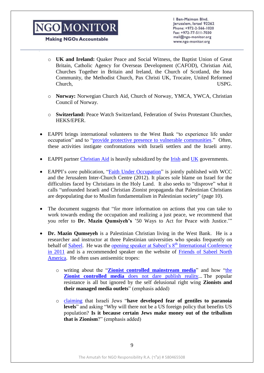**Making NGOs Accountable** 

Ben-Maimon Blvd. Jerusalem, Israel 92262 Phone: +972-2-566-1020 Fax: +972-77-511-7030 mail@ngo-monitor.org www.ngo-monitor.org

- o **UK and Ireland:** Quaker Peace and Social Witness, the Baptist Union of Great Britain, Catholic Agency for Overseas Development (CAFOD), Christian Aid, Churches Together in Britain and Ireland, the Church of Scotland, the Iona Community, the Methodist Church, Pax Christi UK, Trocaire, United Reformed Church, USPG.
- o **Norway:** Norwegian Church Aid, Church of Norway, YMCA, YWCA, Christian Council of Norway.
- o **Switzerland:** Peace Watch Switzerland, Federation of Swiss Protestant Churches, HEKS/EPER.
- EAPPI brings international volunteers to the West Bank "to experience life under occupation" and to ["provide protective presence to vulnerable communities.](http://www.eappi.org/)" Often, these activities instigate confrontations with Israeli settlers and the Israeli army.
- EAPPI partner [Christian Aid](http://www.christianaid.org.uk/whatwedo/middle-east/iopt.aspx) is heavily subsidized by the [Irish](http://www.ngo-monitor.org/article/ireland_government_funding_for_anti_israel_ngos) and [UK](http://www.ngo-monitor.org/data/images/File/ngomonitor_submission_parliamentary_ctteeOct122006.pdf) governments.
- EAPPI's core publication, ["Faith Under Occupation"](http://eappi.org/en/resources/eappi-publications.html?no_cache=1&cid=40788&did=23956&sechash=2710dac9) is jointly published with WCC and the Jerusalem Inter-Church Centre (2012). It places sole blame on Israel for the difficulties faced by Christians in the Holy Land. It also seeks to "disprove" what it calls "unfounded Israeli and Christian Zionist propaganda that Palestinian Christians are depopulating due to Muslim fundamentalism in Palestinian society" (page 10).
- The document suggests that "for more information on actions that you can take to work towards ending the occupation and realizing a just peace, we recommend that you refer to **Dr. Mazin Qumsiyeh's** '50 Ways to Act for Peace with Justice.'"
- **Dr. Mazin Qumseyeh** is a Palestinian Christian living in the West Bank. He is a researcher and instructor at three Palestinian universities who speaks frequently on behalf of [Sabeel.](http://www.ngo-monitor.org/article/sabeel_ecumenical_liberation_theology_center) He was the [opening speaker at Sabeel's 8](http://www.sabeel.org/datadir/en-events/ev167/files/Programme%202011%20Conference%20final%2020jan..pdf)<sup>th</sup> International Conference [in 2011](http://www.sabeel.org/datadir/en-events/ev167/files/Programme%202011%20Conference%20final%2020jan..pdf) and is a recommended speaker on the website of [Friends of Sabeel North](http://fosna.org/content/speakers)  [America.](http://fosna.org/content/speakers) He often uses antisemitic tropes:
	- o writing about the "**[Zionist controlled mainstream media](http://qumsiyeh.org/palestinediary/)**" and how ["the](http://qumsiyeh.org/rightsblog2010/)  **Zionist controlled media** [does not dare publish reality.](http://qumsiyeh.org/rightsblog2010/).. The popular resistance is all but ignored by the self delusional right wing **Zionists and their managed media outlets**" (emphasis added)
	- o [claiming](http://qumsiyeh.org/rightsblog2010/) that Israeli Jews "**have developed fear of gentiles to paranoia levels**" and asking "Why will there not be a US foreign policy that benefits US population? **Is it because certain Jews make money out of the tribalism that is Zionism**?" (emphasis added)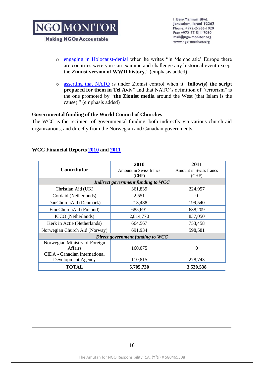**Making NGOs Accountable** 

Ben-Maimon Blvd. Jerusalem, Israel 92262 Phone: +972-2-566-1020 Fax: +972-77-511-7030 mail@ngo-monitor.org www.ngo-monitor.org

- o engaging [in Holocaust-denial](http://qumsiyeh.org/rightsblog2010/) when he writes "in 'democratic' Europe there are countries were you can examine and challenge any historical event except the **Zionist version of WWII history**." (emphasis added)
- o asserting [that NATO](http://www.qumsiyeh.org/apalestinianamericanviewofnatostrategypaper/) is under Zionist control when it "**follow(s) the script prepared for them in Tel Aviv**" and that NATO's definition of "terrorism" is the one promoted by "**the Zionist media** around the West (that Islam is the cause)." (emphasis added)

#### **Governmental funding of the World Council of Churches**

The WCC is the recipient of governmental funding, both indirectly via various church aid organizations, and directly from the Norwegian and Canadian governments.

#### **WCC Financial Reports [2010](http://www.oikoumene.org/fileadmin/files/wcc-main/2011pdfs/financialreport2010.pdf) and [2011](http://www.oikoumene.org/fileadmin/files/wcc-main/2012pdfs/FinancialReport2011.pdf)**

| <b>Contributor</b>                                  | 2010<br>Amount in Swiss francs<br>(CHF) | 2011<br><b>Amount in Swiss francs</b><br>(CHF) |
|-----------------------------------------------------|-----------------------------------------|------------------------------------------------|
| Indirect government funding to WCC                  |                                         |                                                |
| Christian Aid (UK)                                  | 361,839                                 | 224,957                                        |
| Cordaid (Netherlands)                               | 2,551                                   | 0                                              |
| DanChurchAid (Denmark)                              | 213,488                                 | 199,540                                        |
| FinnChurchAid (Finland)                             | 685,691                                 | 638,209                                        |
| <b>ICCO</b> (Netherlands)                           | 2,814,770                               | 837,050                                        |
| Kerk in Actie (Netherlands)                         | 664,567                                 | 753,458                                        |
| Norwegian Church Aid (Norway)                       | 691,934                                 | 598,581                                        |
| Direct government funding to WCC                    |                                         |                                                |
| Norwegian Ministry of Foreign<br><b>Affairs</b>     | 160,075                                 | 0                                              |
| CIDA - Canadian International<br>Development Agency | 110,815                                 | 278,743                                        |
| <b>TOTAL</b>                                        | 5,705,730                               | 3,530,538                                      |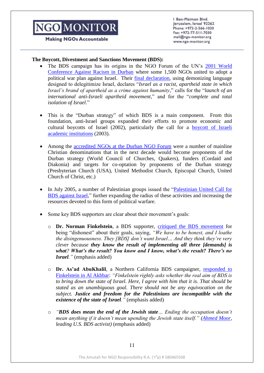**Making NGOs Accountable** 

Ben-Maimon Blvd. Jerusalem, Israel 92262 Phone: +972-2-566-1020 Fax: +972-77-511-7030 mail@ngo-monitor.org www.ngo-monitor.org

#### **The Boycott, Divestment and Sanctions Movement (BDS):**

- The BDS campaign has its origins in the NGO Forum of the UN's [2001 World](http://ngo-monitor.org/article/ngo_forum_at_durban_conference_)  [Conference Against Racism in Durban](http://ngo-monitor.org/article/ngo_forum_at_durban_conference_) where some 1,500 NGOs united to adopt a political war plan against Israel. Their [final declaration,](http://academic.udayton.edu/race/06hrights/WCAR2001/NGOFORUM/) using demonizing language designed to delegitimize Israel, declares "*Israel as a racist, apartheid state in which Israel's brand of apartheid as a crime against humanity*," calls for the "*launch of an international anti-Israeli apartheid movement*," and for the "*complete and total isolation of Israel*."
- This is the "Durban strategy" of which BDS is a main component. From this foundation, anti-Israel groups expanded their efforts to promote economic and cultural boycotts of Israel (2002), particularly the call for a [boycott of Israeli](http://www.ngo-monitor.org/article/factsheet_palestinian_campaign_for_the_academic_and_cultural_boycott_of_israel_pacbi_)  [academic institutions](http://www.ngo-monitor.org/article/factsheet_palestinian_campaign_for_the_academic_and_cultural_boycott_of_israel_pacbi_) (2003).
- Among the [accredited NGOs at the Durban NGO Forum](http://www.icare.to/list%20of%20accredited%20NGO%20representatives%20at%20the%202001%20WCAR.pdf) were a number of mainline Christian denominations that in the next decade would become proponents of the Durban strategy (World Council of Churches, Quakers), funders (Cordaid and Diakonia) and targets for co-optation by proponents of the Durban strategy (Presbyterian Church (USA), United Methodist Church, Episcopal Church, United Church of Christ, etc.)
- In July 2005, a number of Palestinian groups issued the "Palestinian United Call for [BDS against Israel,](http://www.bdsmovement.net/call)" further expanding the radius of these activities and increasing the resources devoted to this form of political warfare.
- Some key BDS supporters are clear about their movement's goals:
	- o **Dr. Norman Finkelstein**, a BDS supporter, [critiqued the BDS movement](http://www.youtube.com/watch?v=ASIBGSSw4lI) for being "dishonest" about their goals, saying, *"We have to be honest, and I loathe the disingenuousness. They [BDS] don't want Israel… And they think they're very clever because they know the result of implementing all three [demands] is what? What's the result? You know and I know, what's the result? There's no Israel."* (emphasis added)
	- o **Dr. As'ad AbuKhalil**, a Northern California BDS campaigner, [responded to](http://english.al-akhbar.com/blogs/angry-corner/critique-norman-finkelstein-bds)  [Finkelstein in Al Akhbar:](http://english.al-akhbar.com/blogs/angry-corner/critique-norman-finkelstein-bds) *"Finkelstein rightly asks whether the real aim of BDS is to bring down the state of Israel. Here, I agree with him that it is. That should be stated as an unambiguous goal. There should not be any equivocation on the subject. Justice and freedom for the Palestinians are incompatible with the existence of the state of Israel."* (emphasis added)
	- o *"BDS does mean the end of the Jewish state… Ending the occupation doesn't mean anything if it doesn't mean upending the Jewish state itself." [\(Ahmed Moor,](http://mondoweiss.net/2010/04/bds-is-a-long-term-project-with-radically-transformative-potential.html) leading U.S. BDS activist)* (emphasis added)